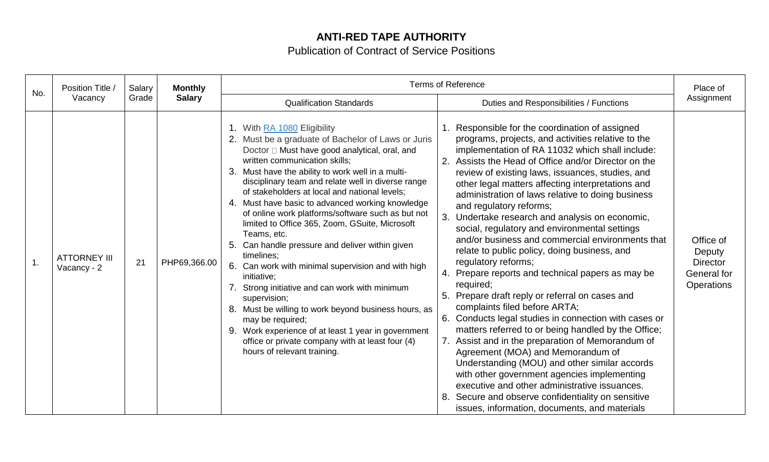## **ANTI-RED TAPE AUTHORITY**

Publication of Contract of Service Positions

| No. | Position Title /                   | Salary        | <b>Monthly</b>                 |                                                                                                                                                                                                                                                                                                                                                                                                                                                                                                                                                                                                                                                                                                                                                                                                                                                                                                                                      | <b>Terms of Reference</b>                                                                                                                                                                                                                                                                                                                                                                                                                                                                                                                                                                                                                                                                                                                                                                                                                                                                                                                                                                                                                                                                                                                                                                                                                               | Place of                                                                   |  |
|-----|------------------------------------|---------------|--------------------------------|--------------------------------------------------------------------------------------------------------------------------------------------------------------------------------------------------------------------------------------------------------------------------------------------------------------------------------------------------------------------------------------------------------------------------------------------------------------------------------------------------------------------------------------------------------------------------------------------------------------------------------------------------------------------------------------------------------------------------------------------------------------------------------------------------------------------------------------------------------------------------------------------------------------------------------------|---------------------------------------------------------------------------------------------------------------------------------------------------------------------------------------------------------------------------------------------------------------------------------------------------------------------------------------------------------------------------------------------------------------------------------------------------------------------------------------------------------------------------------------------------------------------------------------------------------------------------------------------------------------------------------------------------------------------------------------------------------------------------------------------------------------------------------------------------------------------------------------------------------------------------------------------------------------------------------------------------------------------------------------------------------------------------------------------------------------------------------------------------------------------------------------------------------------------------------------------------------|----------------------------------------------------------------------------|--|
|     | Vacancy<br>Grade                   | <b>Salary</b> | <b>Qualification Standards</b> | Duties and Responsibilities / Functions                                                                                                                                                                                                                                                                                                                                                                                                                                                                                                                                                                                                                                                                                                                                                                                                                                                                                              | Assignment                                                                                                                                                                                                                                                                                                                                                                                                                                                                                                                                                                                                                                                                                                                                                                                                                                                                                                                                                                                                                                                                                                                                                                                                                                              |                                                                            |  |
| 1.  | <b>ATTORNEY III</b><br>Vacancy - 2 | 21            | PHP69,366.00                   | 1. With RA 1080 Eligibility<br>2. Must be a graduate of Bachelor of Laws or Juris<br>Doctor □ Must have good analytical, oral, and<br>written communication skills;<br>3. Must have the ability to work well in a multi-<br>disciplinary team and relate well in diverse range<br>of stakeholders at local and national levels;<br>4. Must have basic to advanced working knowledge<br>of online work platforms/software such as but not<br>limited to Office 365, Zoom, GSuite, Microsoft<br>Teams, etc.<br>5. Can handle pressure and deliver within given<br>timelines;<br>6. Can work with minimal supervision and with high<br>initiative;<br>Strong initiative and can work with minimum<br>supervision;<br>8. Must be willing to work beyond business hours, as<br>may be required;<br>9. Work experience of at least 1 year in government<br>office or private company with at least four (4)<br>hours of relevant training. | Responsible for the coordination of assigned<br>programs, projects, and activities relative to the<br>implementation of RA 11032 which shall include:<br>Assists the Head of Office and/or Director on the<br>review of existing laws, issuances, studies, and<br>other legal matters affecting interpretations and<br>administration of laws relative to doing business<br>and regulatory reforms;<br>3.<br>Undertake research and analysis on economic,<br>social, regulatory and environmental settings<br>and/or business and commercial environments that<br>relate to public policy, doing business, and<br>regulatory reforms;<br>Prepare reports and technical papers as may be<br>required;<br>Prepare draft reply or referral on cases and<br>complaints filed before ARTA;<br>Conducts legal studies in connection with cases or<br>6.<br>matters referred to or being handled by the Office;<br>7. Assist and in the preparation of Memorandum of<br>Agreement (MOA) and Memorandum of<br>Understanding (MOU) and other similar accords<br>with other government agencies implementing<br>executive and other administrative issuances.<br>Secure and observe confidentiality on sensitive<br>issues, information, documents, and materials | Office of<br>Deputy<br><b>Director</b><br>General for<br><b>Operations</b> |  |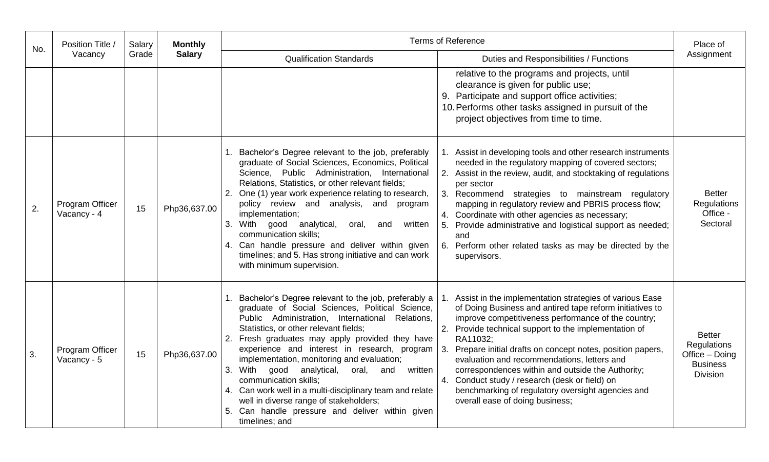| No. | Position Title /               | Salary | <b>Monthly</b> |                                                                                                                                                                                                                                                                                                                                                                                                                                                                                                                                                                                                                                 | <b>Terms of Reference</b>                                                                                                                                                                                                                                                                                                                                                                                                                                                                                                                                  | Place of                                                                                    |            |
|-----|--------------------------------|--------|----------------|---------------------------------------------------------------------------------------------------------------------------------------------------------------------------------------------------------------------------------------------------------------------------------------------------------------------------------------------------------------------------------------------------------------------------------------------------------------------------------------------------------------------------------------------------------------------------------------------------------------------------------|------------------------------------------------------------------------------------------------------------------------------------------------------------------------------------------------------------------------------------------------------------------------------------------------------------------------------------------------------------------------------------------------------------------------------------------------------------------------------------------------------------------------------------------------------------|---------------------------------------------------------------------------------------------|------------|
|     | Vacancy                        | Grade  |                | <b>Salary</b>                                                                                                                                                                                                                                                                                                                                                                                                                                                                                                                                                                                                                   | <b>Qualification Standards</b>                                                                                                                                                                                                                                                                                                                                                                                                                                                                                                                             | Duties and Responsibilities / Functions                                                     | Assignment |
|     |                                |        |                |                                                                                                                                                                                                                                                                                                                                                                                                                                                                                                                                                                                                                                 | relative to the programs and projects, until<br>clearance is given for public use;<br>9. Participate and support office activities;<br>10. Performs other tasks assigned in pursuit of the<br>project objectives from time to time.                                                                                                                                                                                                                                                                                                                        |                                                                                             |            |
| 2.  | Program Officer<br>Vacancy - 4 | 15     | Php36,637.00   | 1. Bachelor's Degree relevant to the job, preferably<br>graduate of Social Sciences, Economics, Political<br>Science, Public Administration, International<br>Relations, Statistics, or other relevant fields;<br>2. One (1) year work experience relating to research,<br>policy review and analysis, and program<br>implementation;<br>good<br>3. With<br>analytical,<br>written<br>oral,<br>and<br>communication skills:<br>4. Can handle pressure and deliver within given<br>timelines; and 5. Has strong initiative and can work<br>with minimum supervision.                                                             | Assist in developing tools and other research instruments<br>needed in the regulatory mapping of covered sectors;<br>2. Assist in the review, audit, and stocktaking of regulations<br>per sector<br>3. Recommend strategies to mainstream regulatory<br>mapping in regulatory review and PBRIS process flow;<br>4. Coordinate with other agencies as necessary;<br>5. Provide administrative and logistical support as needed;<br>and<br>6. Perform other related tasks as may be directed by the<br>supervisors.                                         | <b>Better</b><br><b>Regulations</b><br>Office -<br>Sectoral                                 |            |
| 3.  | Program Officer<br>Vacancy - 5 | 15     | Php36,637.00   | 1. Bachelor's Degree relevant to the job, preferably a<br>graduate of Social Sciences, Political Science,<br>Public Administration, International<br>Relations,<br>Statistics, or other relevant fields;<br>2. Fresh graduates may apply provided they have<br>experience and interest in research, program $\vert$ 3.<br>implementation, monitoring and evaluation;<br>3. With good analytical,<br>oral,<br>and<br>written<br>communication skills;<br>4. Can work well in a multi-disciplinary team and relate<br>well in diverse range of stakeholders;<br>5. Can handle pressure and deliver within given<br>timelines; and | Assist in the implementation strategies of various Ease<br>of Doing Business and antired tape reform initiatives to<br>improve competitiveness performance of the country;<br>2. Provide technical support to the implementation of<br>RA11032;<br>Prepare initial drafts on concept notes, position papers,<br>evaluation and recommendations, letters and<br>correspondences within and outside the Authority;<br>4. Conduct study / research (desk or field) on<br>benchmarking of regulatory oversight agencies and<br>overall ease of doing business; | <b>Better</b><br><b>Regulations</b><br>Office - Doing<br><b>Business</b><br><b>Division</b> |            |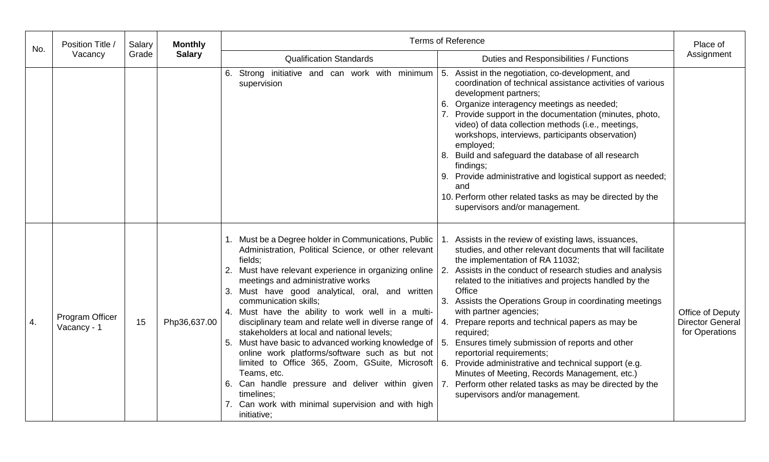| No. | Position Title /               | Salary | <b>Monthly</b> | <b>Terms of Reference</b>                                                                                                                                                                                                                                                                                                                                                                                                                                                                                                                                                                                                                                                                                                                                                                                                                                                                                                                                                                                                                                                                                                                                                                                                                                                                                                                                                                                                                                                                                                            |                                                               |  |  |
|-----|--------------------------------|--------|----------------|--------------------------------------------------------------------------------------------------------------------------------------------------------------------------------------------------------------------------------------------------------------------------------------------------------------------------------------------------------------------------------------------------------------------------------------------------------------------------------------------------------------------------------------------------------------------------------------------------------------------------------------------------------------------------------------------------------------------------------------------------------------------------------------------------------------------------------------------------------------------------------------------------------------------------------------------------------------------------------------------------------------------------------------------------------------------------------------------------------------------------------------------------------------------------------------------------------------------------------------------------------------------------------------------------------------------------------------------------------------------------------------------------------------------------------------------------------------------------------------------------------------------------------------|---------------------------------------------------------------|--|--|
|     | Vacancy                        | Grade  | <b>Salary</b>  | <b>Qualification Standards</b><br>Duties and Responsibilities / Functions                                                                                                                                                                                                                                                                                                                                                                                                                                                                                                                                                                                                                                                                                                                                                                                                                                                                                                                                                                                                                                                                                                                                                                                                                                                                                                                                                                                                                                                            | Assignment                                                    |  |  |
|     |                                |        |                | 6. Strong initiative and can work with minimum $\vert 5$ .<br>Assist in the negotiation, co-development, and<br>coordination of technical assistance activities of various<br>supervision<br>development partners;<br>6. Organize interagency meetings as needed;<br>7. Provide support in the documentation (minutes, photo,<br>video) of data collection methods (i.e., meetings,<br>workshops, interviews, participants observation)<br>employed;<br>8. Build and safeguard the database of all research<br>findings;<br>9. Provide administrative and logistical support as needed;<br>and<br>10. Perform other related tasks as may be directed by the<br>supervisors and/or management.                                                                                                                                                                                                                                                                                                                                                                                                                                                                                                                                                                                                                                                                                                                                                                                                                                        |                                                               |  |  |
| 4.  | Program Officer<br>Vacancy - 1 | 15     | Php36,637.00   | 1. Must be a Degree holder in Communications, Public<br>Assists in the review of existing laws, issuances,<br>Administration, Political Science, or other relevant<br>studies, and other relevant documents that will facilitate<br>fields;<br>the implementation of RA 11032;<br>2. Must have relevant experience in organizing online   2.<br>Assists in the conduct of research studies and analysis<br>meetings and administrative works<br>related to the initiatives and projects handled by the<br>Office<br>3. Must have good analytical, oral, and written<br>communication skills;<br>3. Assists the Operations Group in coordinating meetings<br>4. Must have the ability to work well in a multi-<br>with partner agencies;<br>disciplinary team and relate well in diverse range of<br>Prepare reports and technical papers as may be<br>4.<br>stakeholders at local and national levels;<br>required;<br>Ensures timely submission of reports and other<br>5. Must have basic to advanced working knowledge of   5.<br>online work platforms/software such as but not<br>reportorial requirements;<br>limited to Office 365, Zoom, GSuite, Microsoft $6$ .<br>Provide administrative and technical support (e.g.<br>Minutes of Meeting, Records Management, etc.)<br>Teams, etc.<br>6. Can handle pressure and deliver within given   7.<br>Perform other related tasks as may be directed by the<br>timelines:<br>supervisors and/or management.<br>7. Can work with minimal supervision and with high<br>initiative; | Office of Deputy<br><b>Director General</b><br>for Operations |  |  |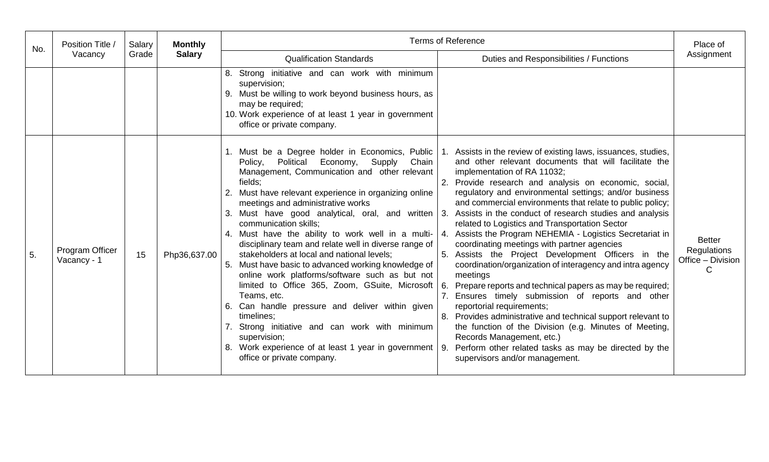| No. | Position Title /               | Salary           | <b>Monthly</b> | <b>Terms of Reference</b>                                                                                                                                                                                                                                                                                                                                                                                                                                                                                                                                                                                                                                                                                                                                                                                                                                                  |                                                                                                                                                                                                                                                                                                                                                                                                                                                                                                                                                                                                                                                                                                                                                                                                                                                                                                                                                                                                                                                                                                                                       | Place of                                                      |  |
|-----|--------------------------------|------------------|----------------|----------------------------------------------------------------------------------------------------------------------------------------------------------------------------------------------------------------------------------------------------------------------------------------------------------------------------------------------------------------------------------------------------------------------------------------------------------------------------------------------------------------------------------------------------------------------------------------------------------------------------------------------------------------------------------------------------------------------------------------------------------------------------------------------------------------------------------------------------------------------------|---------------------------------------------------------------------------------------------------------------------------------------------------------------------------------------------------------------------------------------------------------------------------------------------------------------------------------------------------------------------------------------------------------------------------------------------------------------------------------------------------------------------------------------------------------------------------------------------------------------------------------------------------------------------------------------------------------------------------------------------------------------------------------------------------------------------------------------------------------------------------------------------------------------------------------------------------------------------------------------------------------------------------------------------------------------------------------------------------------------------------------------|---------------------------------------------------------------|--|
|     |                                | Vacancy<br>Grade | <b>Salary</b>  | <b>Qualification Standards</b>                                                                                                                                                                                                                                                                                                                                                                                                                                                                                                                                                                                                                                                                                                                                                                                                                                             | Duties and Responsibilities / Functions                                                                                                                                                                                                                                                                                                                                                                                                                                                                                                                                                                                                                                                                                                                                                                                                                                                                                                                                                                                                                                                                                               | Assignment                                                    |  |
|     |                                |                  |                | 8. Strong initiative and can work with minimum<br>supervision;<br>9. Must be willing to work beyond business hours, as<br>may be required;<br>10. Work experience of at least 1 year in government<br>office or private company.                                                                                                                                                                                                                                                                                                                                                                                                                                                                                                                                                                                                                                           |                                                                                                                                                                                                                                                                                                                                                                                                                                                                                                                                                                                                                                                                                                                                                                                                                                                                                                                                                                                                                                                                                                                                       |                                                               |  |
| 5.  | Program Officer<br>Vacancy - 1 | 15               | Php36,637.00   | Economy,<br>Political<br>Supply<br>Chain<br>Policy,<br>Management, Communication and other relevant<br>fields;<br>2. Must have relevant experience in organizing online<br>meetings and administrative works<br>3. Must have good analytical, oral, and written $\vert 3$ .<br>communication skills;<br>4. Must have the ability to work well in a multi-<br>disciplinary team and relate well in diverse range of<br>stakeholders at local and national levels;<br>5. Must have basic to advanced working knowledge of<br>online work platforms/software such as but not<br>limited to Office 365, Zoom, GSuite, Microsoft 6.<br>Teams, etc.<br>6. Can handle pressure and deliver within given<br>timelines:<br>7. Strong initiative and can work with minimum<br>supervision;<br>8. Work experience of at least 1 year in government   9.<br>office or private company. | 1. Must be a Degree holder in Economics, Public 1. Assists in the review of existing laws, issuances, studies,<br>and other relevant documents that will facilitate the<br>implementation of RA 11032;<br>Provide research and analysis on economic, social,<br>regulatory and environmental settings; and/or business<br>and commercial environments that relate to public policy;<br>Assists in the conduct of research studies and analysis<br>related to Logistics and Transportation Sector<br>Assists the Program NEHEMIA - Logistics Secretariat in<br>coordinating meetings with partner agencies<br>Assists the Project Development Officers in the<br>coordination/organization of interagency and intra agency<br>meetings<br>Prepare reports and technical papers as may be required;<br>7. Ensures timely submission of reports and other<br>reportorial requirements;<br>8. Provides administrative and technical support relevant to<br>the function of the Division (e.g. Minutes of Meeting,<br>Records Management, etc.)<br>Perform other related tasks as may be directed by the<br>supervisors and/or management. | <b>Better</b><br><b>Regulations</b><br>Office - Division<br>С |  |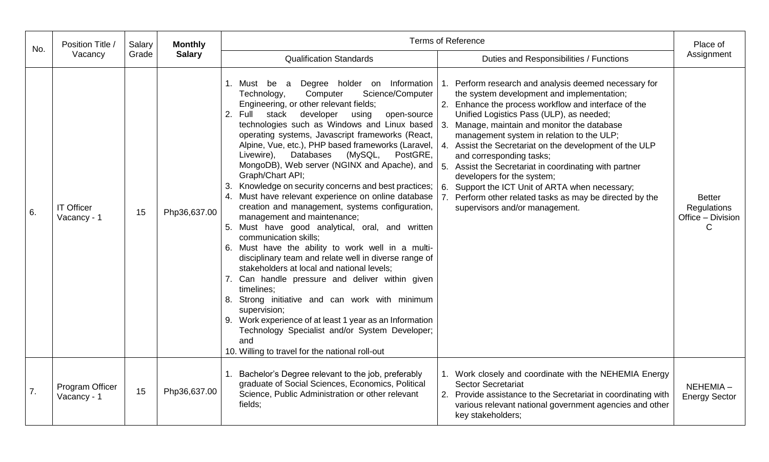| No. | Position Title /                 | Salary | <b>Monthly</b> |                                                                                                                                                                                                                                                                                                                                                                                                                                                                                                                                                                                                                                                                                                                                                                                                                                                                                                                                                                                                                                                                                                                                                                                                                                         | <b>Terms of Reference</b>                                                                                                                                                                                                                                                                                                                                                                                                                                                                                                                                                                                                                                      | Place of                                               |
|-----|----------------------------------|--------|----------------|-----------------------------------------------------------------------------------------------------------------------------------------------------------------------------------------------------------------------------------------------------------------------------------------------------------------------------------------------------------------------------------------------------------------------------------------------------------------------------------------------------------------------------------------------------------------------------------------------------------------------------------------------------------------------------------------------------------------------------------------------------------------------------------------------------------------------------------------------------------------------------------------------------------------------------------------------------------------------------------------------------------------------------------------------------------------------------------------------------------------------------------------------------------------------------------------------------------------------------------------|----------------------------------------------------------------------------------------------------------------------------------------------------------------------------------------------------------------------------------------------------------------------------------------------------------------------------------------------------------------------------------------------------------------------------------------------------------------------------------------------------------------------------------------------------------------------------------------------------------------------------------------------------------------|--------------------------------------------------------|
|     | Vacancy                          | Grade  | <b>Salary</b>  | <b>Qualification Standards</b>                                                                                                                                                                                                                                                                                                                                                                                                                                                                                                                                                                                                                                                                                                                                                                                                                                                                                                                                                                                                                                                                                                                                                                                                          | Duties and Responsibilities / Functions                                                                                                                                                                                                                                                                                                                                                                                                                                                                                                                                                                                                                        | Assignment                                             |
| 6.  | <b>IT Officer</b><br>Vacancy - 1 | 15     | Php36,637.00   | 1. Must be a Degree holder on Information<br>Science/Computer<br>Technology,<br>Computer<br>Engineering, or other relevant fields;<br>2. Full stack developer<br>using<br>open-source<br>technologies such as Windows and Linux based $\vert$ 3.<br>operating systems, Javascript frameworks (React,<br>Alpine, Vue, etc.), PHP based frameworks (Laravel,<br>(MySQL,<br>Databases<br>PostGRE,<br>Livewire),<br>MongoDB), Web server (NGINX and Apache), and<br>Graph/Chart API;<br>Knowledge on security concerns and best practices;<br>3.<br>4. Must have relevant experience on online database<br>creation and management, systems configuration,<br>management and maintenance;<br>5. Must have good analytical, oral, and written<br>communication skills;<br>6. Must have the ability to work well in a multi-<br>disciplinary team and relate well in diverse range of<br>stakeholders at local and national levels;<br>7. Can handle pressure and deliver within given<br>timelines;<br>8. Strong initiative and can work with minimum<br>supervision;<br>9. Work experience of at least 1 year as an Information<br>Technology Specialist and/or System Developer;<br>and<br>10. Willing to travel for the national roll-out | Perform research and analysis deemed necessary for<br>the system development and implementation;<br>2. Enhance the process workflow and interface of the<br>Unified Logistics Pass (ULP), as needed;<br>Manage, maintain and monitor the database<br>management system in relation to the ULP;<br>Assist the Secretariat on the development of the ULP<br>$\overline{4}$ .<br>and corresponding tasks;<br>5 <sub>1</sub><br>Assist the Secretariat in coordinating with partner<br>developers for the system;<br>Support the ICT Unit of ARTA when necessary;<br>6.<br>Perform other related tasks as may be directed by the<br>supervisors and/or management. | <b>Better</b><br>Regulations<br>Office - Division<br>C |
| 7.  | Program Officer<br>Vacancy - 1   | 15     | Php36,637.00   | Bachelor's Degree relevant to the job, preferably<br>graduate of Social Sciences, Economics, Political<br>Science, Public Administration or other relevant<br>fields;                                                                                                                                                                                                                                                                                                                                                                                                                                                                                                                                                                                                                                                                                                                                                                                                                                                                                                                                                                                                                                                                   | 1. Work closely and coordinate with the NEHEMIA Energy<br><b>Sector Secretariat</b><br>Provide assistance to the Secretariat in coordinating with<br>various relevant national government agencies and other<br>key stakeholders;                                                                                                                                                                                                                                                                                                                                                                                                                              | NEHEMIA-<br><b>Energy Sector</b>                       |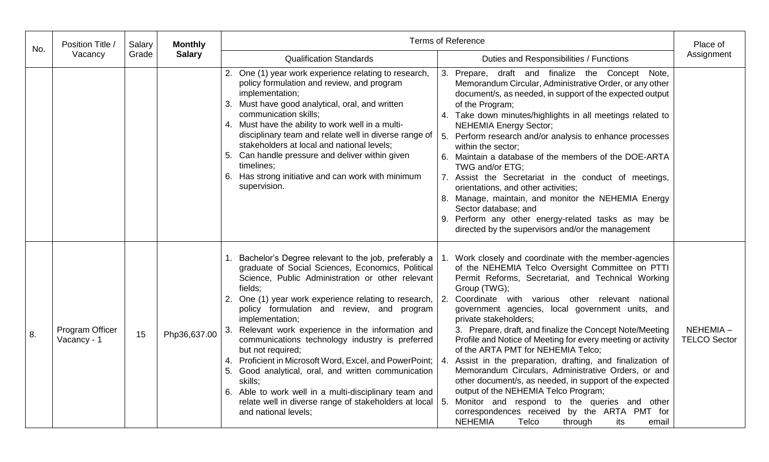| No. | Position Title /               | Salary        | <b>Monthly</b>                                                            | <b>Terms of Reference</b>                                                                                                                                                                                                                                                                                                                                                                                                                                                                                                                                                                                                                                                                                                                                                                                                                                                                                                                                                                                                                                                                                                                                                                                                                                                                                                                                                                                                                                                                                                                                                        | Place of                                    |
|-----|--------------------------------|---------------|---------------------------------------------------------------------------|----------------------------------------------------------------------------------------------------------------------------------------------------------------------------------------------------------------------------------------------------------------------------------------------------------------------------------------------------------------------------------------------------------------------------------------------------------------------------------------------------------------------------------------------------------------------------------------------------------------------------------------------------------------------------------------------------------------------------------------------------------------------------------------------------------------------------------------------------------------------------------------------------------------------------------------------------------------------------------------------------------------------------------------------------------------------------------------------------------------------------------------------------------------------------------------------------------------------------------------------------------------------------------------------------------------------------------------------------------------------------------------------------------------------------------------------------------------------------------------------------------------------------------------------------------------------------------|---------------------------------------------|
|     | Vacancy<br>Grade               | <b>Salary</b> | <b>Qualification Standards</b><br>Duties and Responsibilities / Functions | Assignment                                                                                                                                                                                                                                                                                                                                                                                                                                                                                                                                                                                                                                                                                                                                                                                                                                                                                                                                                                                                                                                                                                                                                                                                                                                                                                                                                                                                                                                                                                                                                                       |                                             |
|     |                                |               |                                                                           | 2. One (1) year work experience relating to research,<br>3. Prepare, draft and finalize the Concept<br>policy formulation and review, and program<br>Memorandum Circular, Administrative Order, or any other<br>implementation;<br>document/s, as needed, in support of the expected output<br>3. Must have good analytical, oral, and written<br>of the Program;<br>communication skills;<br>4. Take down minutes/highlights in all meetings related to<br>4. Must have the ability to work well in a multi-<br><b>NEHEMIA Energy Sector;</b><br>disciplinary team and relate well in diverse range of<br>Perform research and/or analysis to enhance processes<br>stakeholders at local and national levels;<br>within the sector;<br>5. Can handle pressure and deliver within given<br>6. Maintain a database of the members of the DOE-ARTA<br>timelines;<br>TWG and/or ETG;<br>6. Has strong initiative and can work with minimum<br>7. Assist the Secretariat in the conduct of meetings,<br>supervision.<br>orientations, and other activities;<br>8. Manage, maintain, and monitor the NEHEMIA Energy<br>Sector database; and<br>9. Perform any other energy-related tasks as may be<br>directed by the supervisors and/or the management                                                                                                                                                                                                                                                                                                                               | Note,                                       |
| 8.  | Program Officer<br>Vacancy - 1 | 15            | Php36,637.00                                                              | 1. Bachelor's Degree relevant to the job, preferably a<br>Work closely and coordinate with the member-agencies<br>graduate of Social Sciences, Economics, Political<br>of the NEHEMIA Telco Oversight Committee on PTTI<br>Science, Public Administration or other relevant<br>Permit Reforms, Secretariat, and Technical Working<br>Group (TWG);<br>fields;<br>One (1) year work experience relating to research, 2.<br>Coordinate with various other relevant national<br>2.<br>policy formulation and review, and program<br>government agencies, local government units, and<br>implementation;<br>private stakeholders;<br>3. Relevant work experience in the information and<br>3. Prepare, draft, and finalize the Concept Note/Meeting<br>Profile and Notice of Meeting for every meeting or activity<br>communications technology industry is preferred<br>of the ARTA PMT for NEHEMIA Telco;<br>but not required;<br>4. Proficient in Microsoft Word, Excel, and PowerPoint;<br>Assist in the preparation, drafting, and finalization of<br>4.<br>Memorandum Circulars, Administrative Orders, or and<br>5. Good analytical, oral, and written communication<br>other document/s, as needed, in support of the expected<br>skills:<br>output of the NEHEMIA Telco Program;<br>6. Able to work well in a multi-disciplinary team and<br>relate well in diverse range of stakeholders at local   5.<br>Monitor and respond to the queries and other<br>correspondences received by the ARTA PMT for<br>and national levels;<br><b>NEHEMIA</b><br>Telco<br>through<br>its | $NEHEMIA -$<br><b>TELCO Sector</b><br>email |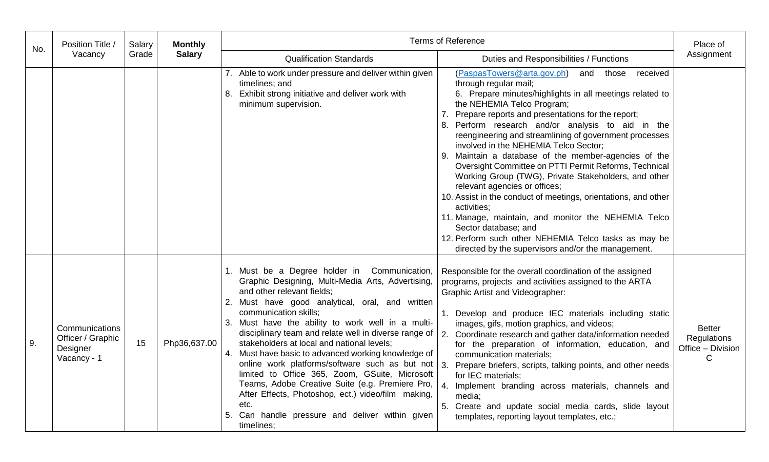| No. | Position Title /                                               | Salary | <b>Monthly</b> |                                                                                                                                                                                                                                                                                                                                                                                                                                                                                                                                                                                                                                                                                                                                | <b>Terms of Reference</b>                                                                                                                                                                                                                                                                                                                                                                                                                                                                                                                                                                                                                                                                                                                                                                                                                                                         | Place of                                                          |
|-----|----------------------------------------------------------------|--------|----------------|--------------------------------------------------------------------------------------------------------------------------------------------------------------------------------------------------------------------------------------------------------------------------------------------------------------------------------------------------------------------------------------------------------------------------------------------------------------------------------------------------------------------------------------------------------------------------------------------------------------------------------------------------------------------------------------------------------------------------------|-----------------------------------------------------------------------------------------------------------------------------------------------------------------------------------------------------------------------------------------------------------------------------------------------------------------------------------------------------------------------------------------------------------------------------------------------------------------------------------------------------------------------------------------------------------------------------------------------------------------------------------------------------------------------------------------------------------------------------------------------------------------------------------------------------------------------------------------------------------------------------------|-------------------------------------------------------------------|
|     | Vacancy                                                        | Grade  | <b>Salary</b>  | <b>Qualification Standards</b>                                                                                                                                                                                                                                                                                                                                                                                                                                                                                                                                                                                                                                                                                                 | Duties and Responsibilities / Functions                                                                                                                                                                                                                                                                                                                                                                                                                                                                                                                                                                                                                                                                                                                                                                                                                                           | Assignment                                                        |
|     |                                                                |        |                | 7. Able to work under pressure and deliver within given<br>timelines; and<br>8. Exhibit strong initiative and deliver work with<br>minimum supervision.                                                                                                                                                                                                                                                                                                                                                                                                                                                                                                                                                                        | (PaspasTowers@arta.gov.ph)<br>and those<br>received<br>through regular mail;<br>6. Prepare minutes/highlights in all meetings related to<br>the NEHEMIA Telco Program;<br>Prepare reports and presentations for the report;<br>7.<br>8. Perform research and/or analysis to aid in the<br>reengineering and streamlining of government processes<br>involved in the NEHEMIA Telco Sector;<br>9. Maintain a database of the member-agencies of the<br>Oversight Committee on PTTI Permit Reforms, Technical<br>Working Group (TWG), Private Stakeholders, and other<br>relevant agencies or offices;<br>10. Assist in the conduct of meetings, orientations, and other<br>activities;<br>11. Manage, maintain, and monitor the NEHEMIA Telco<br>Sector database; and<br>12. Perform such other NEHEMIA Telco tasks as may be<br>directed by the supervisors and/or the management. |                                                                   |
| 9.  | Communications<br>Officer / Graphic<br>Designer<br>Vacancy - 1 | 15     | Php36,637.00   | 1. Must be a Degree holder in Communication,<br>Graphic Designing, Multi-Media Arts, Advertising,<br>and other relevant fields;<br>2. Must have good analytical, oral, and written<br>communication skills;<br>3. Must have the ability to work well in a multi-<br>disciplinary team and relate well in diverse range of<br>stakeholders at local and national levels;<br>4. Must have basic to advanced working knowledge of<br>online work platforms/software such as but not $ 3$ .<br>limited to Office 365, Zoom, GSuite, Microsoft<br>Teams, Adobe Creative Suite (e.g. Premiere Pro,<br>After Effects, Photoshop, ect.) video/film making,<br>etc.<br>Can handle pressure and deliver within given<br>5.<br>timelines; | Responsible for the overall coordination of the assigned<br>programs, projects and activities assigned to the ARTA<br><b>Graphic Artist and Videographer:</b><br>1. Develop and produce IEC materials including static<br>images, gifs, motion graphics, and videos;<br>2. Coordinate research and gather data/information needed<br>for the preparation of information, education, and<br>communication materials;<br>Prepare briefers, scripts, talking points, and other needs<br>for IEC materials;<br>$\overline{4}$ .<br>Implement branding across materials, channels and<br>media;<br>5. Create and update social media cards, slide layout<br>templates, reporting layout templates, etc.;                                                                                                                                                                               | <b>Better</b><br>Regulations<br>Office - Division<br>$\mathsf{C}$ |